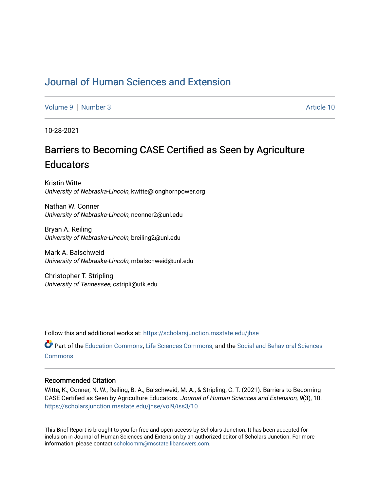## [Journal of Human Sciences and Extension](https://scholarsjunction.msstate.edu/jhse)

[Volume 9](https://scholarsjunction.msstate.edu/jhse/vol9) | [Number 3](https://scholarsjunction.msstate.edu/jhse/vol9/iss3) Article 10

10-28-2021

# Barriers to Becoming CASE Certified as Seen by Agriculture **Educators**

Kristin Witte University of Nebraska-Lincoln, kwitte@longhornpower.org

Nathan W. Conner University of Nebraska-Lincoln, nconner2@unl.edu

Bryan A. Reiling University of Nebraska-Lincoln, breiling2@unl.edu

Mark A. Balschweid University of Nebraska-Lincoln, mbalschweid@unl.edu

Christopher T. Stripling University of Tennessee, cstripli@utk.edu

Follow this and additional works at: [https://scholarsjunction.msstate.edu/jhse](https://scholarsjunction.msstate.edu/jhse?utm_source=scholarsjunction.msstate.edu%2Fjhse%2Fvol9%2Fiss3%2F10&utm_medium=PDF&utm_campaign=PDFCoverPages)

Part of the [Education Commons](http://network.bepress.com/hgg/discipline/784?utm_source=scholarsjunction.msstate.edu%2Fjhse%2Fvol9%2Fiss3%2F10&utm_medium=PDF&utm_campaign=PDFCoverPages), [Life Sciences Commons](http://network.bepress.com/hgg/discipline/1016?utm_source=scholarsjunction.msstate.edu%2Fjhse%2Fvol9%2Fiss3%2F10&utm_medium=PDF&utm_campaign=PDFCoverPages), and the [Social and Behavioral Sciences](http://network.bepress.com/hgg/discipline/316?utm_source=scholarsjunction.msstate.edu%2Fjhse%2Fvol9%2Fiss3%2F10&utm_medium=PDF&utm_campaign=PDFCoverPages)  **[Commons](http://network.bepress.com/hgg/discipline/316?utm_source=scholarsjunction.msstate.edu%2Fjhse%2Fvol9%2Fiss3%2F10&utm_medium=PDF&utm_campaign=PDFCoverPages)** 

#### Recommended Citation

Witte, K., Conner, N. W., Reiling, B. A., Balschweid, M. A., & Stripling, C. T. (2021). Barriers to Becoming CASE Certified as Seen by Agriculture Educators. Journal of Human Sciences and Extension, 9(3), 10. [https://scholarsjunction.msstate.edu/jhse/vol9/iss3/10](https://scholarsjunction.msstate.edu/jhse/vol9/iss3/10?utm_source=scholarsjunction.msstate.edu%2Fjhse%2Fvol9%2Fiss3%2F10&utm_medium=PDF&utm_campaign=PDFCoverPages) 

This Brief Report is brought to you for free and open access by Scholars Junction. It has been accepted for inclusion in Journal of Human Sciences and Extension by an authorized editor of Scholars Junction. For more information, please contact [scholcomm@msstate.libanswers.com](mailto:scholcomm@msstate.libanswers.com).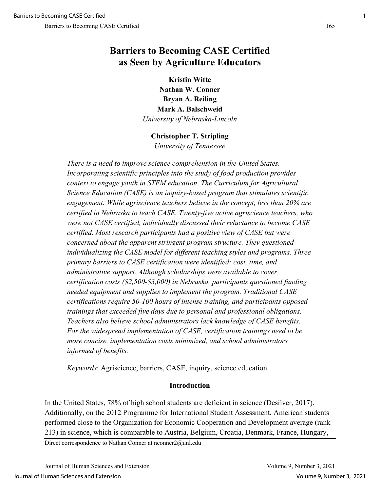## **Barriers to Becoming CASE Certified as Seen by Agriculture Educators**

**Kristin Witte Nathan W. Conner Bryan A. Reiling Mark A. Balschweid** *University of Nebraska-Lincoln* 

### **Christopher T. Stripling**

*University of Tennessee*

*There is a need to improve science comprehension in the United States. Incorporating scientific principles into the study of food production provides*  context to engage youth in STEM education. The Curriculum for Agricultural *Science Education (CASE) is an inquiry-based program that stimulates scientific engagement. While agriscience teachers believe in the concept, less than 20% are certified in Nebraska to teach CASE. Twenty-five active agriscience teachers, who were not CASE certified, individually discussed their reluctance to become CASE certified. Most research participants had a positive view of CASE but were concerned about the apparent stringent program structure. They questioned individualizing the CASE model for different teaching styles and programs. Three primary barriers to CASE certification were identified: cost, time, and administrative support. Although scholarships were available to cover certification costs (\$2,500-\$3,000) in Nebraska, participants questioned funding needed equipment and supplies to implement the program. Traditional CASE certifications require 50-100 hours of intense training, and participants opposed trainings that exceeded five days due to personal and professional obligations. Teachers also believe school administrators lack knowledge of CASE benefits. For the widespread implementation of CASE, certification trainings need to be more concise, implementation costs minimized, and school administrators informed of benefits.* 

*Keywords*: Agriscience, barriers, CASE, inquiry, science education

#### **Introduction**

In the United States, 78% of high school students are deficient in science (Desilver, 2017). Additionally, on the 2012 Programme for International Student Assessment, American students performed close to the Organization for Economic Cooperation and Development average (rank 213) in science, which is comparable to Austria, Belgium, Croatia, Denmark, France, Hungary,

Direct correspondence to Nathan Conner at nconner2@unl.edu

Journal of Human Sciences and Extension Volume 9, Number 3, 2021 Journal of Human Sciences and Extension Volume 9, Number 3, 2021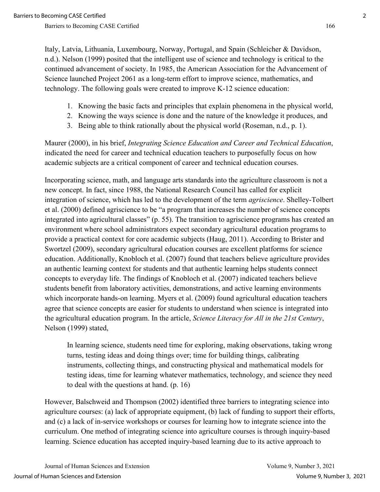Italy, Latvia, Lithuania, Luxembourg, Norway, Portugal, and Spain (Schleicher & Davidson, n.d.). Nelson (1999) posited that the intelligent use of science and technology is critical to the continued advancement of society. In 1985, the American Association for the Advancement of Science launched Project 2061 as a long-term effort to improve science, mathematics, and technology. The following goals were created to improve K-12 science education:

- 1. Knowing the basic facts and principles that explain phenomena in the physical world,
- 2. Knowing the ways science is done and the nature of the knowledge it produces, and
- 3. Being able to think rationally about the physical world (Roseman, n.d., p. 1).

Maurer (2000), in his brief, *Integrating Science Education and Career and Technical Education*, indicated the need for career and technical education teachers to purposefully focus on how academic subjects are a critical component of career and technical education courses.

Incorporating science, math, and language arts standards into the agriculture classroom is not a new concept. In fact, since 1988, the National Research Council has called for explicit integration of science, which has led to the development of the term *agriscience*. Shelley-Tolbert et al. (2000) defined agriscience to be "a program that increases the number of science concepts integrated into agricultural classes" (p. 55). The transition to agriscience programs has created an environment where school administrators expect secondary agricultural education programs to provide a practical context for core academic subjects (Haug, 2011). According to Brister and Swortzel (2009), secondary agricultural education courses are excellent platforms for science education. Additionally, Knobloch et al. (2007) found that teachers believe agriculture provides an authentic learning context for students and that authentic learning helps students connect concepts to everyday life. The findings of Knobloch et al. (2007) indicated teachers believe students benefit from laboratory activities, demonstrations, and active learning environments which incorporate hands-on learning. Myers et al. (2009) found agricultural education teachers agree that science concepts are easier for students to understand when science is integrated into the agricultural education program. In the article, *Science Literacy for All in the 21st Century*, Nelson (1999) stated,

In learning science, students need time for exploring, making observations, taking wrong turns, testing ideas and doing things over; time for building things, calibrating instruments, collecting things, and constructing physical and mathematical models for testing ideas, time for learning whatever mathematics, technology, and science they need to deal with the questions at hand. (p. 16)

However, Balschweid and Thompson (2002) identified three barriers to integrating science into agriculture courses: (a) lack of appropriate equipment, (b) lack of funding to support their efforts, and (c) a lack of in-service workshops or courses for learning how to integrate science into the curriculum. One method of integrating science into agriculture courses is through inquiry-based learning. Science education has accepted inquiry-based learning due to its active approach to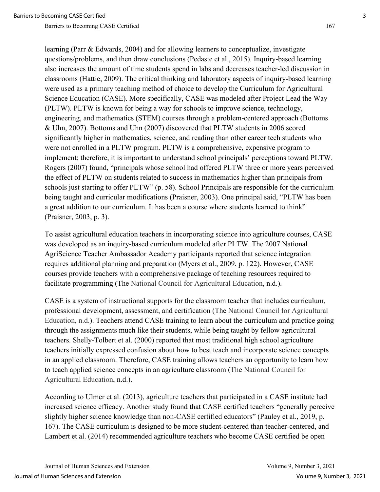learning (Parr & Edwards, 2004) and for allowing learners to conceptualize, investigate questions/problems, and then draw conclusions (Pedaste et al., 2015). Inquiry-based learning also increases the amount of time students spend in labs and decreases teacher-led discussion in classrooms (Hattie, 2009). The critical thinking and laboratory aspects of inquiry-based learning were used as a primary teaching method of choice to develop the Curriculum for Agricultural Science Education (CASE). More specifically, CASE was modeled after Project Lead the Way (PLTW). PLTW is known for being a way for schools to improve science, technology, engineering, and mathematics (STEM) courses through a problem-centered approach (Bottoms & Uhn, 2007). Bottoms and Uhn (2007) discovered that PLTW students in 2006 scored significantly higher in mathematics, science, and reading than other career tech students who were not enrolled in a PLTW program. PLTW is a comprehensive, expensive program to implement; therefore, it is important to understand school principals' perceptions toward PLTW. Rogers (2007) found, "principals whose school had offered PLTW three or more years perceived the effect of PLTW on students related to success in mathematics higher than principals from schools just starting to offer PLTW" (p. 58). School Principals are responsible for the curriculum being taught and curricular modifications (Praisner, 2003). One principal said, "PLTW has been a great addition to our curriculum. It has been a course where students learned to think" (Praisner, 2003, p. 3).

To assist agricultural education teachers in incorporating science into agriculture courses, CASE was developed as an inquiry-based curriculum modeled after PLTW. The 2007 National AgriScience Teacher Ambassador Academy participants reported that science integration requires additional planning and preparation (Myers et al., 2009, p. 122). However, CASE courses provide teachers with a comprehensive package of teaching resources required to facilitate programming (The National Council for Agricultural Education, n.d.).

CASE is a system of instructional supports for the classroom teacher that includes curriculum, professional development, assessment, and certification (The National Council for Agricultural Education, n.d.). Teachers attend CASE training to learn about the curriculum and practice going through the assignments much like their students, while being taught by fellow agricultural teachers. Shelly-Tolbert et al. (2000) reported that most traditional high school agriculture teachers initially expressed confusion about how to best teach and incorporate science concepts in an applied classroom. Therefore, CASE training allows teachers an opportunity to learn how to teach applied science concepts in an agriculture classroom (The National Council for Agricultural Education, n.d.).

According to Ulmer et al. (2013), agriculture teachers that participated in a CASE institute had increased science efficacy. Another study found that CASE certified teachers "generally perceive slightly higher science knowledge than non-CASE certified educators" (Pauley et al., 2019, p. 167). The CASE curriculum is designed to be more student-centered than teacher-centered, and Lambert et al. (2014) recommended agriculture teachers who become CASE certified be open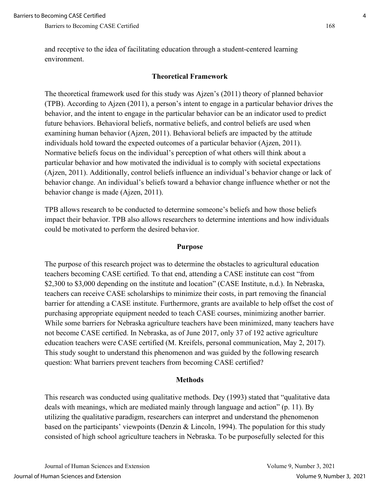and receptive to the idea of facilitating education through a student-centered learning environment.

#### **Theoretical Framework**

The theoretical framework used for this study was Ajzen's (2011) theory of planned behavior (TPB). According to Ajzen (2011), a person's intent to engage in a particular behavior drives the behavior, and the intent to engage in the particular behavior can be an indicator used to predict future behaviors. Behavioral beliefs, normative beliefs, and control beliefs are used when examining human behavior (Ajzen, 2011). Behavioral beliefs are impacted by the attitude individuals hold toward the expected outcomes of a particular behavior (Ajzen, 2011). Normative beliefs focus on the individual's perception of what others will think about a particular behavior and how motivated the individual is to comply with societal expectations (Ajzen, 2011). Additionally, control beliefs influence an individual's behavior change or lack of behavior change. An individual's beliefs toward a behavior change influence whether or not the behavior change is made (Ajzen, 2011).

TPB allows research to be conducted to determine someone's beliefs and how those beliefs impact their behavior. TPB also allows researchers to determine intentions and how individuals could be motivated to perform the desired behavior.

#### **Purpose**

The purpose of this research project was to determine the obstacles to agricultural education teachers becoming CASE certified. To that end, attending a CASE institute can cost "from \$2,300 to \$3,000 depending on the institute and location" (CASE Institute, n.d.). In Nebraska, teachers can receive CASE scholarships to minimize their costs, in part removing the financial barrier for attending a CASE institute. Furthermore, grants are available to help offset the cost of purchasing appropriate equipment needed to teach CASE courses, minimizing another barrier. While some barriers for Nebraska agriculture teachers have been minimized, many teachers have not become CASE certified. In Nebraska, as of June 2017, only 37 of 192 active agriculture education teachers were CASE certified (M. Kreifels, personal communication, May 2, 2017). This study sought to understand this phenomenon and was guided by the following research question: What barriers prevent teachers from becoming CASE certified?

#### **Methods**

This research was conducted using qualitative methods. Dey (1993) stated that "qualitative data deals with meanings, which are mediated mainly through language and action" (p. 11). By utilizing the qualitative paradigm, researchers can interpret and understand the phenomenon based on the participants' viewpoints (Denzin & Lincoln, 1994). The population for this study consisted of high school agriculture teachers in Nebraska. To be purposefully selected for this

Journal of Human Sciences and Extension Volume 9, Number 3, 2021 Journal of Human Sciences and Extension Volume 9, Number 3, 2021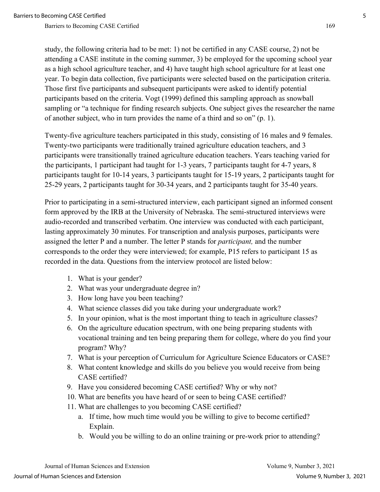study, the following criteria had to be met: 1) not be certified in any CASE course, 2) not be attending a CASE institute in the coming summer, 3) be employed for the upcoming school year as a high school agriculture teacher, and 4) have taught high school agriculture for at least one year. To begin data collection, five participants were selected based on the participation criteria. Those first five participants and subsequent participants were asked to identify potential participants based on the criteria. Vogt (1999) defined this sampling approach as snowball sampling or "a technique for finding research subjects. One subject gives the researcher the name of another subject, who in turn provides the name of a third and so on" (p. 1).

Twenty-five agriculture teachers participated in this study, consisting of 16 males and 9 females. Twenty-two participants were traditionally trained agriculture education teachers, and 3 participants were transitionally trained agriculture education teachers. Years teaching varied for the participants, 1 participant had taught for 1-3 years, 7 participants taught for 4-7 years, 8 participants taught for 10-14 years, 3 participants taught for 15-19 years, 2 participants taught for 25-29 years, 2 participants taught for 30-34 years, and 2 participants taught for 35-40 years.

Prior to participating in a semi-structured interview, each participant signed an informed consent form approved by the IRB at the University of Nebraska. The semi-structured interviews were audio-recorded and transcribed verbatim. One interview was conducted with each participant, lasting approximately 30 minutes. For transcription and analysis purposes, participants were assigned the letter P and a number. The letter P stands for *participant,* and the number corresponds to the order they were interviewed; for example, P15 refers to participant 15 as recorded in the data. Questions from the interview protocol are listed below:

- 1. What is your gender?
- 2. What was your undergraduate degree in?
- 3. How long have you been teaching?
- 4. What science classes did you take during your undergraduate work?
- 5. In your opinion, what is the most important thing to teach in agriculture classes?
- 6. On the agriculture education spectrum, with one being preparing students with vocational training and ten being preparing them for college, where do you find your program? Why?
- 7. What is your perception of Curriculum for Agriculture Science Educators or CASE?
- 8. What content knowledge and skills do you believe you would receive from being CASE certified?
- 9. Have you considered becoming CASE certified? Why or why not?
- 10. What are benefits you have heard of or seen to being CASE certified?
- 11. What are challenges to you becoming CASE certified?
	- a. If time, how much time would you be willing to give to become certified? Explain.
	- b. Would you be willing to do an online training or pre-work prior to attending?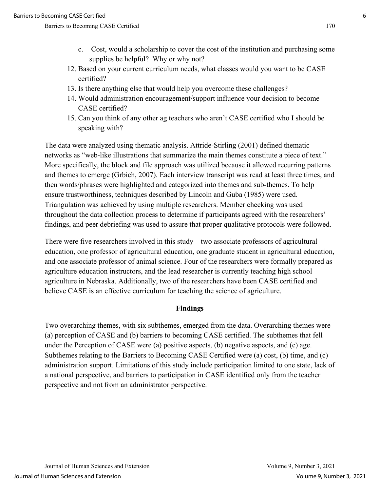- c. Cost, would a scholarship to cover the cost of the institution and purchasing some supplies be helpful? Why or why not?
- 12. Based on your current curriculum needs, what classes would you want to be CASE certified?
- 13. Is there anything else that would help you overcome these challenges?
- 14. Would administration encouragement/support influence your decision to become CASE certified?
- 15. Can you think of any other ag teachers who aren't CASE certified who I should be speaking with?

The data were analyzed using thematic analysis. Attride-Stirling (2001) defined thematic networks as "web-like illustrations that summarize the main themes constitute a piece of text." More specifically, the block and file approach was utilized because it allowed recurring patterns and themes to emerge (Grbich, 2007). Each interview transcript was read at least three times, and then words/phrases were highlighted and categorized into themes and sub-themes. To help ensure trustworthiness, techniques described by Lincoln and Guba (1985) were used. Triangulation was achieved by using multiple researchers. Member checking was used throughout the data collection process to determine if participants agreed with the researchers' findings, and peer debriefing was used to assure that proper qualitative protocols were followed.

There were five researchers involved in this study – two associate professors of agricultural education, one professor of agricultural education, one graduate student in agricultural education, and one associate professor of animal science. Four of the researchers were formally prepared as agriculture education instructors, and the lead researcher is currently teaching high school agriculture in Nebraska. Additionally, two of the researchers have been CASE certified and believe CASE is an effective curriculum for teaching the science of agriculture.

#### **Findings**

Two overarching themes, with six subthemes, emerged from the data. Overarching themes were (a) perception of CASE and (b) barriers to becoming CASE certified. The subthemes that fell under the Perception of CASE were (a) positive aspects, (b) negative aspects, and (c) age. Subthemes relating to the Barriers to Becoming CASE Certified were (a) cost, (b) time, and (c) administration support. Limitations of this study include participation limited to one state, lack of a national perspective, and barriers to participation in CASE identified only from the teacher perspective and not from an administrator perspective.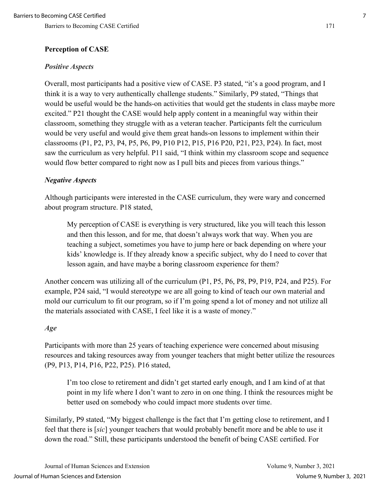#### **Perception of CASE**

#### *Positive Aspects*

Overall, most participants had a positive view of CASE. P3 stated, "it's a good program, and I think it is a way to very authentically challenge students." Similarly, P9 stated, "Things that would be useful would be the hands-on activities that would get the students in class maybe more excited." P21 thought the CASE would help apply content in a meaningful way within their classroom, something they struggle with as a veteran teacher. Participants felt the curriculum would be very useful and would give them great hands-on lessons to implement within their classrooms (P1, P2, P3, P4, P5, P6, P9, P10 P12, P15, P16 P20, P21, P23, P24). In fact, most saw the curriculum as very helpful. P11 said, "I think within my classroom scope and sequence would flow better compared to right now as I pull bits and pieces from various things."

#### *Negative Aspects*

Although participants were interested in the CASE curriculum, they were wary and concerned about program structure. P18 stated,

My perception of CASE is everything is very structured, like you will teach this lesson and then this lesson, and for me, that doesn't always work that way. When you are teaching a subject, sometimes you have to jump here or back depending on where your kids' knowledge is. If they already know a specific subject, why do I need to cover that lesson again, and have maybe a boring classroom experience for them?

Another concern was utilizing all of the curriculum (P1, P5, P6, P8, P9, P19, P24, and P25). For example, P24 said, "I would stereotype we are all going to kind of teach our own material and mold our curriculum to fit our program, so if I'm going spend a lot of money and not utilize all the materials associated with CASE, I feel like it is a waste of money."

#### *Age*

Participants with more than 25 years of teaching experience were concerned about misusing resources and taking resources away from younger teachers that might better utilize the resources (P9, P13, P14, P16, P22, P25). P16 stated,

I'm too close to retirement and didn't get started early enough, and I am kind of at that point in my life where I don't want to zero in on one thing. I think the resources might be better used on somebody who could impact more students over time.

Similarly, P9 stated, "My biggest challenge is the fact that I'm getting close to retirement, and I feel that there is [*sic*] younger teachers that would probably benefit more and be able to use it down the road." Still, these participants understood the benefit of being CASE certified. For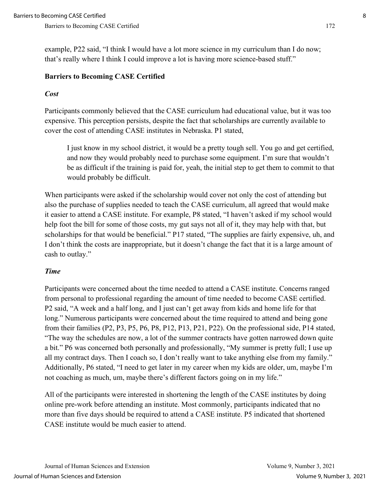example, P22 said, "I think I would have a lot more science in my curriculum than I do now; that's really where I think I could improve a lot is having more science-based stuff."

#### **Barriers to Becoming CASE Certified**

#### *Cost*

Participants commonly believed that the CASE curriculum had educational value, but it was too expensive. This perception persists, despite the fact that scholarships are currently available to cover the cost of attending CASE institutes in Nebraska. P1 stated,

I just know in my school district, it would be a pretty tough sell. You go and get certified, and now they would probably need to purchase some equipment. I'm sure that wouldn't be as difficult if the training is paid for, yeah, the initial step to get them to commit to that would probably be difficult.

When participants were asked if the scholarship would cover not only the cost of attending but also the purchase of supplies needed to teach the CASE curriculum, all agreed that would make it easier to attend a CASE institute. For example, P8 stated, "I haven't asked if my school would help foot the bill for some of those costs, my gut says not all of it, they may help with that, but scholarships for that would be beneficial." P17 stated, "The supplies are fairly expensive, uh, and I don't think the costs are inappropriate, but it doesn't change the fact that it is a large amount of cash to outlay."

#### *Time*

Participants were concerned about the time needed to attend a CASE institute. Concerns ranged from personal to professional regarding the amount of time needed to become CASE certified. P2 said, "A week and a half long, and I just can't get away from kids and home life for that long." Numerous participants were concerned about the time required to attend and being gone from their families (P2, P3, P5, P6, P8, P12, P13, P21, P22). On the professional side, P14 stated, "The way the schedules are now, a lot of the summer contracts have gotten narrowed down quite a bit." P6 was concerned both personally and professionally, "My summer is pretty full; I use up all my contract days. Then I coach so, I don't really want to take anything else from my family." Additionally, P6 stated, "I need to get later in my career when my kids are older, um, maybe I'm not coaching as much, um, maybe there's different factors going on in my life."

All of the participants were interested in shortening the length of the CASE institutes by doing online pre-work before attending an institute. Most commonly, participants indicated that no more than five days should be required to attend a CASE institute. P5 indicated that shortened CASE institute would be much easier to attend.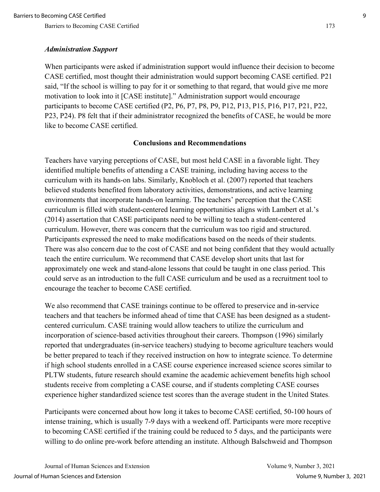#### *Administration Support*

When participants were asked if administration support would influence their decision to become CASE certified, most thought their administration would support becoming CASE certified. P21 said, "If the school is willing to pay for it or something to that regard, that would give me more motivation to look into it [CASE institute]." Administration support would encourage participants to become CASE certified (P2, P6, P7, P8, P9, P12, P13, P15, P16, P17, P21, P22, P23, P24). P8 felt that if their administrator recognized the benefits of CASE, he would be more like to become CASE certified.

#### **Conclusions and Recommendations**

Teachers have varying perceptions of CASE, but most held CASE in a favorable light. They identified multiple benefits of attending a CASE training, including having access to the curriculum with its hands-on labs. Similarly, Knobloch et al. (2007) reported that teachers believed students benefited from laboratory activities, demonstrations, and active learning environments that incorporate hands-on learning. The teachers' perception that the CASE curriculum is filled with student-centered learning opportunities aligns with Lambert et al.'s (2014) assertation that CASE participants need to be willing to teach a student-centered curriculum. However, there was concern that the curriculum was too rigid and structured. Participants expressed the need to make modifications based on the needs of their students. There was also concern due to the cost of CASE and not being confident that they would actually teach the entire curriculum. We recommend that CASE develop short units that last for approximately one week and stand-alone lessons that could be taught in one class period. This could serve as an introduction to the full CASE curriculum and be used as a recruitment tool to encourage the teacher to become CASE certified.

We also recommend that CASE trainings continue to be offered to preservice and in-service teachers and that teachers be informed ahead of time that CASE has been designed as a studentcentered curriculum. CASE training would allow teachers to utilize the curriculum and incorporation of science-based activities throughout their careers. Thompson (1996) similarly reported that undergraduates (in-service teachers) studying to become agriculture teachers would be better prepared to teach if they received instruction on how to integrate science. To determine if high school students enrolled in a CASE course experience increased science scores similar to PLTW students, future research should examine the academic achievement benefits high school students receive from completing a CASE course, and if students completing CASE courses experience higher standardized science test scores than the average student in the United States.

Participants were concerned about how long it takes to become CASE certified, 50-100 hours of intense training, which is usually 7-9 days with a weekend off. Participants were more receptive to becoming CASE certified if the training could be reduced to 5 days, and the participants were willing to do online pre-work before attending an institute. Although Balschweid and Thompson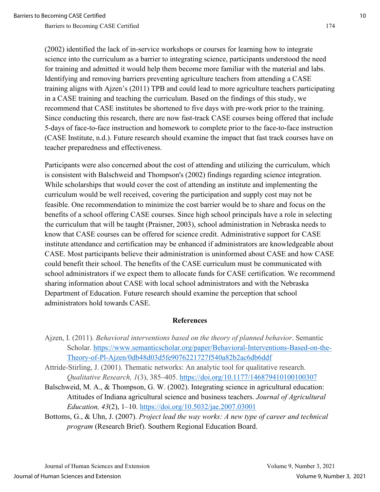(2002) identified the lack of in-service workshops or courses for learning how to integrate science into the curriculum as a barrier to integrating science, participants understood the need for training and admitted it would help them become more familiar with the material and labs. Identifying and removing barriers preventing agriculture teachers from attending a CASE training aligns with Ajzen's (2011) TPB and could lead to more agriculture teachers participating in a CASE training and teaching the curriculum. Based on the findings of this study, we recommend that CASE institutes be shortened to five days with pre-work prior to the training. Since conducting this research, there are now fast-track CASE courses being offered that include 5-days of face-to-face instruction and homework to complete prior to the face-to-face instruction (CASE Institute, n.d.). Future research should examine the impact that fast track courses have on teacher preparedness and effectiveness.

Participants were also concerned about the cost of attending and utilizing the curriculum, which is consistent with Balschweid and Thompson's (2002) findings regarding science integration. While scholarships that would cover the cost of attending an institute and implementing the curriculum would be well received, covering the participation and supply cost may not be feasible. One recommendation to minimize the cost barrier would be to share and focus on the benefits of a school offering CASE courses. Since high school principals have a role in selecting the curriculum that will be taught (Praisner, 2003), school administration in Nebraska needs to know that CASE courses can be offered for science credit. Administrative support for CASE institute attendance and certification may be enhanced if administrators are knowledgeable about CASE. Most participants believe their administration is uninformed about CASE and how CASE could benefit their school. The benefits of the CASE curriculum must be communicated with school administrators if we expect them to allocate funds for CASE certification. We recommend sharing information about CASE with local school administrators and with the Nebraska Department of Education. Future research should examine the perception that school administrators hold towards CASE.

#### **References**

- Ajzen, I. (2011). *Behavioral interventions based on the theory of planned behavior*. Semantic Scholar. [https://www.semanticscholar.org/paper/Behavioral-Interventions-Based-on-the-](https://www.semanticscholar.org/paper/Behavioral-Interventions-Based-on-the-Theory-of-Pl-Ajzen/0db48d03d5fe9076221727f540a82b2ac6db6ddf)[Theory-of-Pl-Ajzen/0db48d03d5fe9076221727f540a82b2ac6db6ddf](https://www.semanticscholar.org/paper/Behavioral-Interventions-Based-on-the-Theory-of-Pl-Ajzen/0db48d03d5fe9076221727f540a82b2ac6db6ddf)
- Attride-Stirling, J. (2001). Thematic networks: An analytic tool for qualitative research. *Qualitative Research, 1*(3), 385–405.<https://doi.org/10.1177/146879410100100307>
- Balschweid, M. A., & Thompson, G. W. (2002). Integrating science in agricultural education: Attitudes of Indiana agricultural science and business teachers. *Journal of Agricultural Education, 43*(2), 1–10.<https://doi.org/10.5032/jae.2007.03001>
- Bottoms, G., & Uhn, J. (2007). *Project lead the way works: A new type of career and technical program* (Research Brief). Southern Regional Education Board.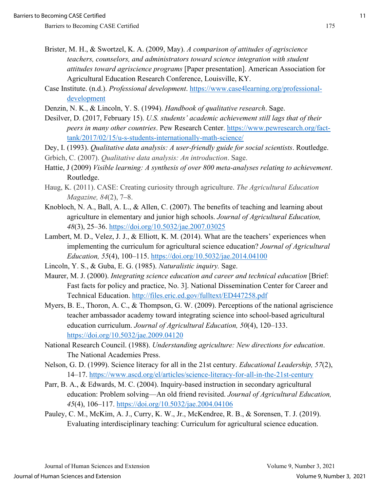- Brister, M. H., & Swortzel, K. A. (2009, May). *A comparison of attitudes of agriscience teachers, counselors, and administrators toward science integration with student attitudes toward agriscience programs* [Paper presentation]. American Association for Agricultural Education Research Conference, Louisville, KY.
- Case Institute. (n.d.). *Professional development*. [https://www.case4learning.org/professional](https://www.case4learning.org/professional-development)[development](https://www.case4learning.org/professional-development)
- Denzin, N. K., & Lincoln, Y. S. (1994). *Handbook of qualitative research*. Sage.
- Desilver, D. (2017, February 15). *U.S. students' academic achievement still lags that of their peers in many other countries*. Pew Research Center. [https://www.pewresearch.org/fact](https://www.pewresearch.org/fact-tank/2017/02/15/u-s-students-internationally-math-science/)[tank/2017/02/15/u-s-students-internationally-math-science/](https://www.pewresearch.org/fact-tank/2017/02/15/u-s-students-internationally-math-science/)
- Dey, I. (1993). *Qualitative data analysis: A user-friendly guide for social scientists*. Routledge.
- Grbich, C. (2007). *Qualitative data analysis: An introduction*. Sage.
- Hattie, J (2009) *Visible learning: A synthesis of over 800 meta-analyses relating to achievement*. Routledge.
- Haug, K. (2011). CASE: Creating curiosity through agriculture. *The Agricultural Education Magazine, 84*(2), 7–8.
- Knobloch, N. A., Ball, A. L., & Allen, C. (2007). The benefits of teaching and learning about agriculture in elementary and junior high schools. *Journal of Agricultural Education, 48*(3), 25–36.<https://doi.org/10.5032/jae.2007.03025>
- Lambert, M. D., Velez, J. J., & Elliott, K. M. (2014). What are the teachers' experiences when implementing the curriculum for agricultural science education? *Journal of Agricultural Education, 55*(4), 100–115.<https://doi.org/10.5032/jae.2014.04100>
- Lincoln, Y. S., & Guba, E. G. (1985). *Naturalistic inquiry.* Sage.
- Maurer, M. J. (2000). *Integrating science education and career and technical education* [Brief: Fast facts for policy and practice, No. 3]. National Dissemination Center for Career and Technical Education.<http://files.eric.ed.gov/fulltext/ED447258.pdf>
- Myers, B. E., Thoron, A. C., & Thompson, G. W. (2009). Perceptions of the national agriscience teacher ambassador academy toward integrating science into school-based agricultural education curriculum. *Journal of Agricultural Education, 50*(4), 120–133. <https://doi.org/10.5032/jae.2009.04120>
- National Research Council. (1988). *Understanding agriculture: New directions for education*. The National Academies Press.
- Nelson, G. D. (1999). Science literacy for all in the 21st century. *Educational Leadership, 57*(2), 14–17.<https://www.ascd.org/el/articles/science-literacy-for-all-in-the-21st-century>
- Parr, B. A., & Edwards, M. C. (2004). Inquiry-based instruction in secondary agricultural education: Problem solving—An old friend revisited. *Journal of Agricultural Education, 45*(4), 106–117.<https://doi.org/10.5032/jae.2004.04106>
- Pauley, C. M., McKim, A. J., Curry, K. W., Jr., McKendree, R. B., & Sorensen, T. J. (2019). Evaluating interdisciplinary teaching: Curriculum for agricultural science education.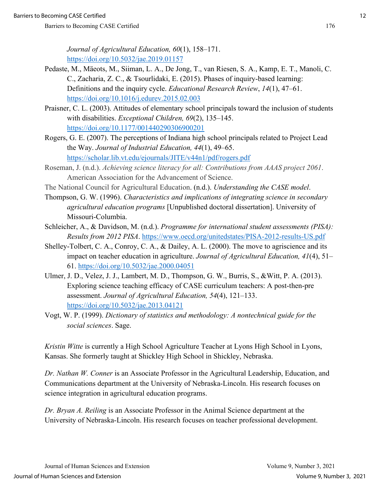*Journal of Agricultural Education, 60*(1), 158–171. <https://doi.org/10.5032/jae.2019.01157>

- Pedaste, M., Mäeots, M., Siiman, L. A., De Jong, T., van Riesen, S. A., Kamp, E. T., Manoli, C. C., Zacharia, Z. C., & Tsourlidaki, E. (2015). Phases of inquiry-based learning: Definitions and the inquiry cycle. *Educational Research Review*, *14*(1), 47–61. <https://doi.org/10.1016/j.edurev.2015.02.003>
- Praisner, C. L. (2003). Attitudes of elementary school principals toward the inclusion of students with disabilities. *Exceptional Children, 69*(2), 135–145. [https://doi.org/10.1177/001440290306900201](https://doi.org/10.1177%2F001440290306900201)
- Rogers, G. E. (2007). The perceptions of Indiana high school principals related to Project Lead the Way. *Journal of Industrial Education, 44*(1), 49–65. <https://scholar.lib.vt.edu/ejournals/JITE/v44n1/pdf/rogers.pdf>
- Roseman, J. (n.d.). *Achieving science literacy for all: Contributions from AAAS project 2061*. American Association for the Advancement of Science.
- The National Council for Agricultural Education. (n.d.). *Understanding the CASE model*.
- Thompson, G. W. (1996). *Characteristics and implications of integrating science in secondary agricultural education programs* [Unpublished doctoral dissertation]. University of Missouri-Columbia.
- Schleicher, A., & Davidson, M. (n.d.). *Programme for international student assessments (PISA): Results from 2012 PISA*.<https://www.oecd.org/unitedstates/PISA-2012-results-US.pdf>
- Shelley-Tolbert, C. A., Conroy, C. A., & Dailey, A. L. (2000). The move to agriscience and its impact on teacher education in agriculture. *Journal of Agricultural Education, 41*(4), 51– 61.<https://doi.org/10.5032/jae.2000.04051>
- Ulmer, J. D., Velez, J. J., Lambert, M. D., Thompson, G. W., Burris, S., &Witt, P. A. (2013). Exploring science teaching efficacy of CASE curriculum teachers: A post-then-pre assessment. *Journal of Agricultural Education, 54*(4), 121–133. <https://doi.org/10.5032/jae.2013.04121>
- Vogt, W. P. (1999). *Dictionary of statistics and methodology: A nontechnical guide for the social sciences*. Sage.

*Kristin Witte* is currently a High School Agriculture Teacher at Lyons High School in Lyons, Kansas. She formerly taught at Shickley High School in Shickley, Nebraska.

*Dr. Nathan W. Conner* is an Associate Professor in the Agricultural Leadership, Education, and Communications department at the University of Nebraska-Lincoln. His research focuses on science integration in agricultural education programs.

*Dr. Bryan A. Reiling* is an Associate Professor in the Animal Science department at the University of Nebraska-Lincoln. His research focuses on teacher professional development.